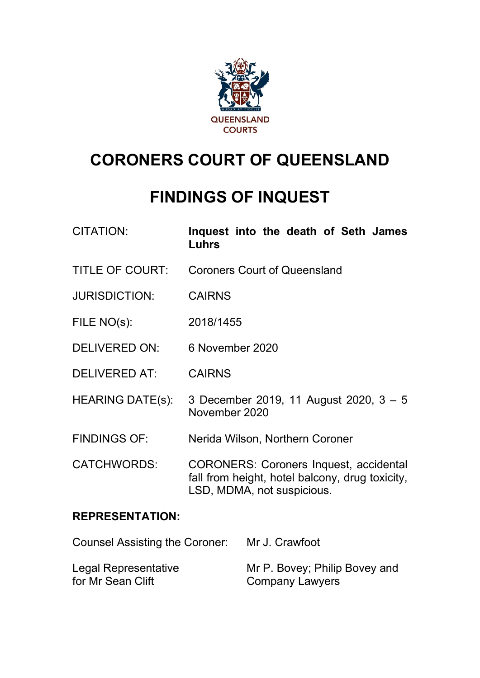

# **CORONERS COURT OF QUEENSLAND**

# **FINDINGS OF INQUEST**

- CITATION: **Inquest into the death of Seth James Luhrs**
- TITLE OF COURT: Coroners Court of Queensland
- JURISDICTION: CAIRNS
- FILE NO(s): 2018/1455
- DELIVERED ON: 6 November 2020
- DELIVERED AT: CAIRNS
- HEARING DATE(s): 3 December 2019, 11 August 2020, 3 5 November 2020
- FINDINGS OF: Nerida Wilson, Northern Coroner
- CATCHWORDS: CORONERS: Coroners Inquest, accidental fall from height, hotel balcony, drug toxicity, LSD, MDMA, not suspicious.

## **REPRESENTATION:**

| <b>Counsel Assisting the Coroner:</b> | Mr J. Crawfoot                |
|---------------------------------------|-------------------------------|
| Legal Representative                  | Mr P. Bovey; Philip Bovey and |
| for Mr Sean Clift                     | <b>Company Lawyers</b>        |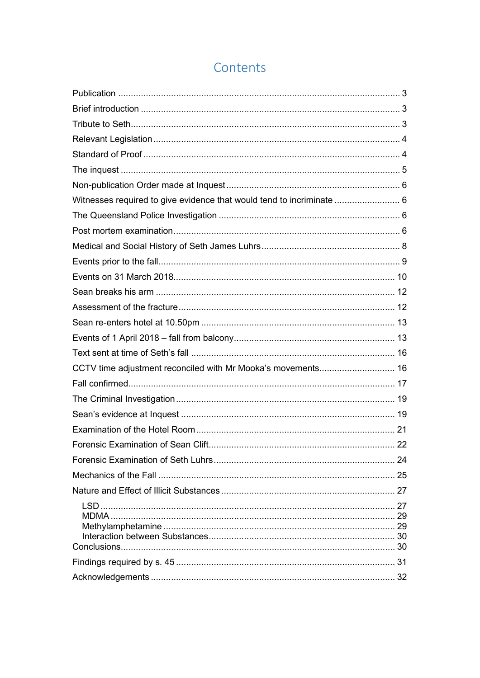# Contents

| Witnesses required to give evidence that would tend to incriminate  6 |  |
|-----------------------------------------------------------------------|--|
|                                                                       |  |
|                                                                       |  |
|                                                                       |  |
|                                                                       |  |
|                                                                       |  |
|                                                                       |  |
|                                                                       |  |
|                                                                       |  |
|                                                                       |  |
|                                                                       |  |
| CCTV time adjustment reconciled with Mr Mooka's movements 16          |  |
|                                                                       |  |
|                                                                       |  |
|                                                                       |  |
|                                                                       |  |
|                                                                       |  |
|                                                                       |  |
|                                                                       |  |
|                                                                       |  |
|                                                                       |  |
|                                                                       |  |
|                                                                       |  |
|                                                                       |  |
|                                                                       |  |
|                                                                       |  |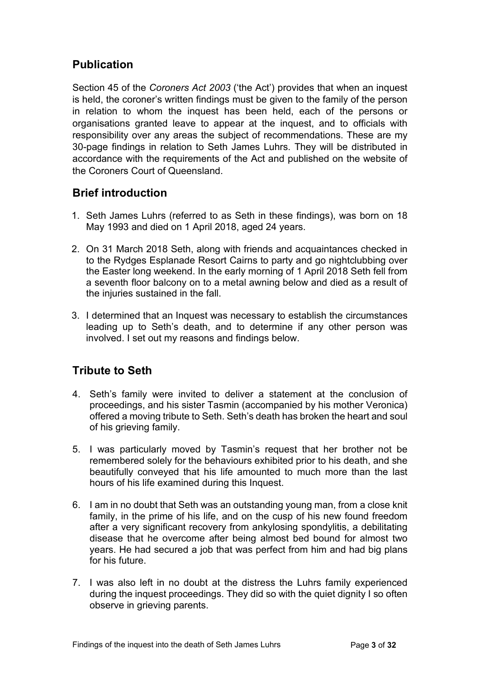# <span id="page-2-0"></span>**Publication**

Section 45 of the *Coroners Act 2003* ('the Act') provides that when an inquest is held, the coroner's written findings must be given to the family of the person in relation to whom the inquest has been held, each of the persons or organisations granted leave to appear at the inquest, and to officials with responsibility over any areas the subject of recommendations. These are my 30-page findings in relation to Seth James Luhrs. They will be distributed in accordance with the requirements of the Act and published on the website of the Coroners Court of Queensland.

# <span id="page-2-1"></span>**Brief introduction**

- 1. Seth James Luhrs (referred to as Seth in these findings), was born on 18 May 1993 and died on 1 April 2018, aged 24 years.
- 2. On 31 March 2018 Seth, along with friends and acquaintances checked in to the Rydges Esplanade Resort Cairns to party and go nightclubbing over the Easter long weekend. In the early morning of 1 April 2018 Seth fell from a seventh floor balcony on to a metal awning below and died as a result of the injuries sustained in the fall.
- 3. I determined that an Inquest was necessary to establish the circumstances leading up to Seth's death, and to determine if any other person was involved. I set out my reasons and findings below.

# <span id="page-2-2"></span>**Tribute to Seth**

- 4. Seth's family were invited to deliver a statement at the conclusion of proceedings, and his sister Tasmin (accompanied by his mother Veronica) offered a moving tribute to Seth. Seth's death has broken the heart and soul of his grieving family.
- 5. I was particularly moved by Tasmin's request that her brother not be remembered solely for the behaviours exhibited prior to his death, and she beautifully conveyed that his life amounted to much more than the last hours of his life examined during this Inquest.
- 6. I am in no doubt that Seth was an outstanding young man, from a close knit family, in the prime of his life, and on the cusp of his new found freedom after a very significant recovery from ankylosing spondylitis, a debilitating disease that he overcome after being almost bed bound for almost two years. He had secured a job that was perfect from him and had big plans for his future.
- 7. I was also left in no doubt at the distress the Luhrs family experienced during the inquest proceedings. They did so with the quiet dignity I so often observe in grieving parents.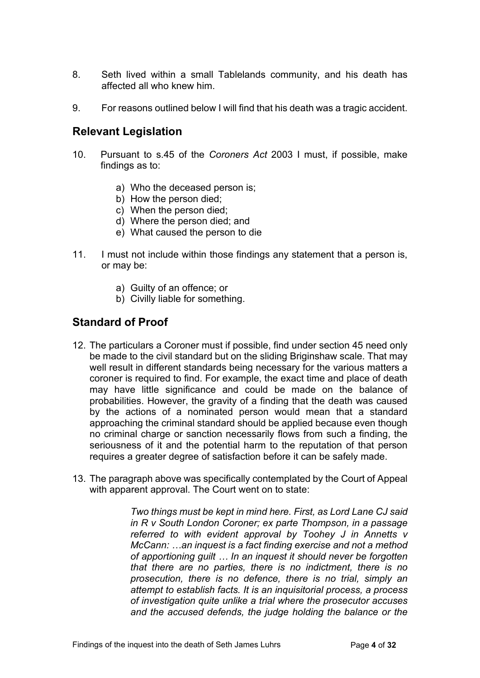- 8. Seth lived within a small Tablelands community, and his death has affected all who knew him.
- 9. For reasons outlined below I will find that his death was a tragic accident.

#### <span id="page-3-0"></span>**Relevant Legislation**

- 10. Pursuant to s.45 of the *Coroners Act* 2003 I must, if possible, make findings as to:
	- a) Who the deceased person is;
	- b) How the person died;
	- c) When the person died;
	- d) Where the person died; and
	- e) What caused the person to die
- 11. I must not include within those findings any statement that a person is, or may be:
	- a) Guilty of an offence; or
	- b) Civilly liable for something.

## <span id="page-3-1"></span>**Standard of Proof**

- 12. The particulars a Coroner must if possible, find under section 45 need only be made to the civil standard but on the sliding Briginshaw scale. That may well result in different standards being necessary for the various matters a coroner is required to find. For example, the exact time and place of death may have little significance and could be made on the balance of probabilities. However, the gravity of a finding that the death was caused by the actions of a nominated person would mean that a standard approaching the criminal standard should be applied because even though no criminal charge or sanction necessarily flows from such a finding, the seriousness of it and the potential harm to the reputation of that person requires a greater degree of satisfaction before it can be safely made.
- 13. The paragraph above was specifically contemplated by the Court of Appeal with apparent approval. The Court went on to state:

*Two things must be kept in mind here. First, as Lord Lane CJ said in R v South London Coroner; ex parte Thompson, in a passage referred to with evident approval by Toohey J in Annetts v McCann: …an inquest is a fact finding exercise and not a method of apportioning guilt … In an inquest it should never be forgotten that there are no parties, there is no indictment, there is no prosecution, there is no defence, there is no trial, simply an attempt to establish facts. It is an inquisitorial process, a process of investigation quite unlike a trial where the prosecutor accuses and the accused defends, the judge holding the balance or the*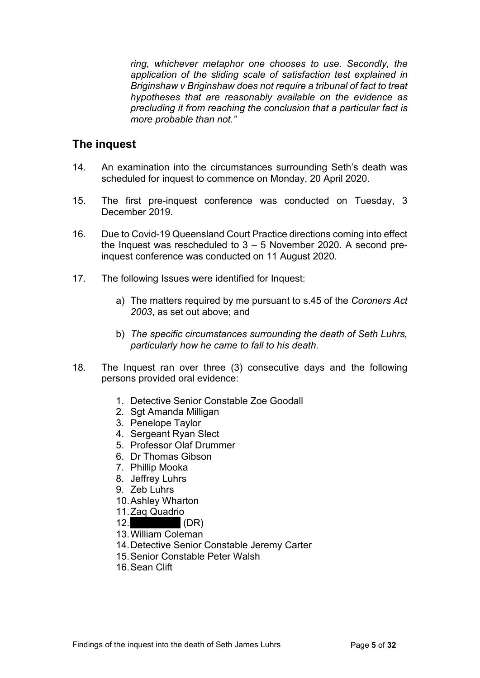*ring, whichever metaphor one chooses to use. Secondly, the application of the sliding scale of satisfaction test explained in Briginshaw v Briginshaw does not require a tribunal of fact to treat hypotheses that are reasonably available on the evidence as precluding it from reaching the conclusion that a particular fact is more probable than not."*

#### <span id="page-4-0"></span>**The inquest**

- 14. An examination into the circumstances surrounding Seth's death was scheduled for inquest to commence on Monday, 20 April 2020.
- 15. The first pre-inquest conference was conducted on Tuesday, 3 December 2019.
- 16. Due to Covid-19 Queensland Court Practice directions coming into effect the Inquest was rescheduled to  $3 - 5$  November 2020. A second preinquest conference was conducted on 11 August 2020.
- 17. The following Issues were identified for Inquest:
	- a) The matters required by me pursuant to s.45 of the *Coroners Act 2003*, as set out above; and
	- b) *The specific circumstances surrounding the death of Seth Luhrs, particularly how he came to fall to his death*.
- 18. The Inquest ran over three (3) consecutive days and the following persons provided oral evidence:
	- 1. Detective Senior Constable Zoe Goodall
	- 2. Sgt Amanda Milligan
	- 3. Penelope Taylor
	- 4. Sergeant Ryan Slect
	- 5. Professor Olaf Drummer
	- 6. Dr Thomas Gibson
	- 7. Phillip Mooka
	- 8. Jeffrey Luhrs
	- 9. Zeb Luhrs
	- 10.Ashley Wharton
	- 11.Zaq Quadrio
	- $12.$  (DR)
	- 13.William Coleman
	- 14.Detective Senior Constable Jeremy Carter
	- 15.Senior Constable Peter Walsh
	- 16.Sean Clift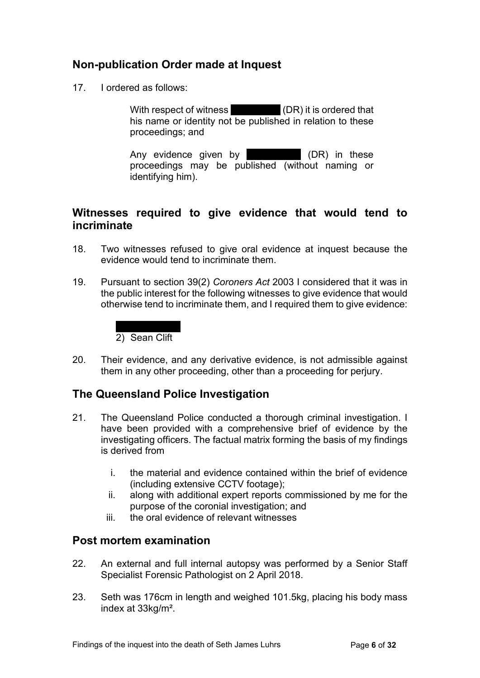# <span id="page-5-0"></span>**Non-publication Order made at Inquest**

17. I ordered as follows:

With respect of witness  $(DR)$  it is ordered that his name or identity not be published in relation to these proceedings; and

Any evidence given by  $(DR)$  in these proceedings may be published (without naming or identifying him).

## <span id="page-5-1"></span>**Witnesses required to give evidence that would tend to incriminate**

- 18. Two witnesses refused to give oral evidence at inquest because the evidence would tend to incriminate them.
- 19. Pursuant to section 39(2) *Coroners Act* 2003 I considered that it was in the public interest for the following witnesses to give evidence that would otherwise tend to incriminate them, and I required them to give evidence:

# 2) Sean Clift

20. Their evidence, and any derivative evidence, is not admissible against them in any other proceeding, other than a proceeding for perjury.

# <span id="page-5-2"></span>**The Queensland Police Investigation**

- 21. The Queensland Police conducted a thorough criminal investigation. I have been provided with a comprehensive brief of evidence by the investigating officers. The factual matrix forming the basis of my findings is derived from
	- i. the material and evidence contained within the brief of evidence (including extensive CCTV footage);
	- ii. along with additional expert reports commissioned by me for the purpose of the coronial investigation; and
	- iii. the oral evidence of relevant witnesses

## <span id="page-5-3"></span>**Post mortem examination**

- 22. An external and full internal autopsy was performed by a Senior Staff Specialist Forensic Pathologist on 2 April 2018.
- 23. Seth was 176cm in length and weighed 101.5kg, placing his body mass index at 33kg/m².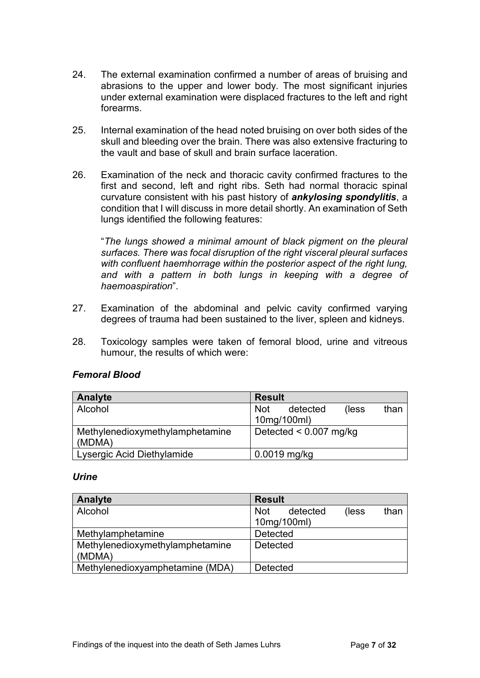- 24. The external examination confirmed a number of areas of bruising and abrasions to the upper and lower body. The most significant injuries under external examination were displaced fractures to the left and right forearms.
- 25. Internal examination of the head noted bruising on over both sides of the skull and bleeding over the brain. There was also extensive fracturing to the vault and base of skull and brain surface laceration.
- 26. Examination of the neck and thoracic cavity confirmed fractures to the first and second, left and right ribs. Seth had normal thoracic spinal curvature consistent with his past history of *ankylosing spondylitis*, a condition that I will discuss in more detail shortly. An examination of Seth lungs identified the following features:

"*The lungs showed a minimal amount of black pigment on the pleural surfaces. There was focal disruption of the right visceral pleural surfaces with confluent haemhorrage within the posterior aspect of the right lung, and with a pattern in both lungs in keeping with a degree of haemoaspiration*".

- 27. Examination of the abdominal and pelvic cavity confirmed varying degrees of trauma had been sustained to the liver, spleen and kidneys.
- 28. Toxicology samples were taken of femoral blood, urine and vitreous humour, the results of which were:

| Analyte                                   | <b>Result</b>                           |
|-------------------------------------------|-----------------------------------------|
| Alcohol                                   | (less<br>than<br>detected<br><b>Not</b> |
|                                           | 10mg/100ml)                             |
| Methylenedioxymethylamphetamine<br>(MDMA) | Detected $< 0.007$ mg/kg                |
| Lysergic Acid Diethylamide                | $0.0019$ mg/kg                          |

#### *Femoral Blood*

#### *Urine*

| <b>Analyte</b>                  | <b>Result</b>                           |
|---------------------------------|-----------------------------------------|
| Alcohol                         | than<br>(less<br><b>Not</b><br>detected |
|                                 | 10mg/100ml)                             |
| Methylamphetamine               | <b>Detected</b>                         |
| Methylenedioxymethylamphetamine | <b>Detected</b>                         |
| (MDMA)                          |                                         |
| Methylenedioxyamphetamine (MDA) | <b>Detected</b>                         |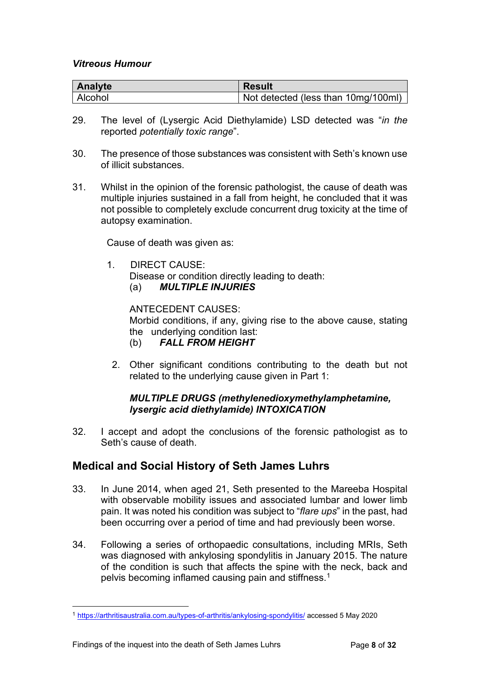#### *Vitreous Humour*

| Analyte | <b>Result</b>                       |
|---------|-------------------------------------|
| Alcohol | Not detected (less than 10mg/100ml) |

- 29. The level of (Lysergic Acid Diethylamide) LSD detected was "*in the*  reported *potentially toxic range*".
- 30. The presence of those substances was consistent with Seth's known use of illicit substances.
- 31. Whilst in the opinion of the forensic pathologist, the cause of death was multiple injuries sustained in a fall from height, he concluded that it was not possible to completely exclude concurrent drug toxicity at the time of autopsy examination.

Cause of death was given as:

1. DIRECT CAUSE:

Disease or condition directly leading to death:

(a) *MULTIPLE INJURIES*

ANTECEDENT CAUSES:

Morbid conditions, if any, giving rise to the above cause, stating the underlying condition last:

- (b) *FALL FROM HEIGHT*
- 2. Other significant conditions contributing to the death but not related to the underlying cause given in Part 1:

#### *MULTIPLE DRUGS (methylenedioxymethylamphetamine, lysergic acid diethylamide) INTOXICATION*

32. I accept and adopt the conclusions of the forensic pathologist as to Seth's cause of death.

# <span id="page-7-0"></span>**Medical and Social History of Seth James Luhrs**

- 33. In June 2014, when aged 21, Seth presented to the Mareeba Hospital with observable mobility issues and associated lumbar and lower limb pain. It was noted his condition was subject to "*flare ups*" in the past, had been occurring over a period of time and had previously been worse.
- 34. Following a series of orthopaedic consultations, including MRIs, Seth was diagnosed with ankylosing spondylitis in January 2015. The nature of the condition is such that affects the spine with the neck, back and pelvis becoming inflamed causing pain and stiffness.<sup>[1](#page-7-1)</sup>

<span id="page-7-1"></span><sup>1</sup> <https://arthritisaustralia.com.au/types-of-arthritis/ankylosing-spondylitis/> accessed 5 May 2020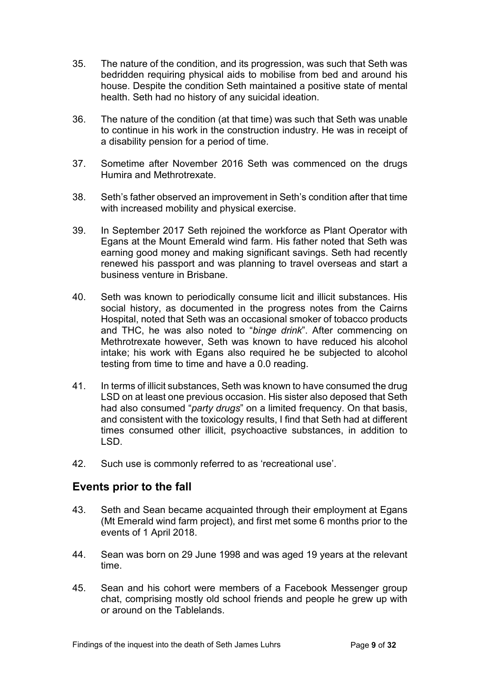- 35. The nature of the condition, and its progression, was such that Seth was bedridden requiring physical aids to mobilise from bed and around his house. Despite the condition Seth maintained a positive state of mental health. Seth had no history of any suicidal ideation.
- 36. The nature of the condition (at that time) was such that Seth was unable to continue in his work in the construction industry. He was in receipt of a disability pension for a period of time.
- 37. Sometime after November 2016 Seth was commenced on the drugs Humira and Methrotrexate.
- 38. Seth's father observed an improvement in Seth's condition after that time with increased mobility and physical exercise.
- 39. In September 2017 Seth rejoined the workforce as Plant Operator with Egans at the Mount Emerald wind farm. His father noted that Seth was earning good money and making significant savings. Seth had recently renewed his passport and was planning to travel overseas and start a business venture in Brisbane.
- 40. Seth was known to periodically consume licit and illicit substances. His social history, as documented in the progress notes from the Cairns Hospital, noted that Seth was an occasional smoker of tobacco products and THC, he was also noted to "*binge drink*". After commencing on Methrotrexate however, Seth was known to have reduced his alcohol intake; his work with Egans also required he be subjected to alcohol testing from time to time and have a 0.0 reading.
- 41. In terms of illicit substances, Seth was known to have consumed the drug LSD on at least one previous occasion. His sister also deposed that Seth had also consumed "*party drugs*" on a limited frequency. On that basis, and consistent with the toxicology results, I find that Seth had at different times consumed other illicit, psychoactive substances, in addition to LSD.
- 42. Such use is commonly referred to as 'recreational use'.

#### <span id="page-8-0"></span>**Events prior to the fall**

- 43. Seth and Sean became acquainted through their employment at Egans (Mt Emerald wind farm project), and first met some 6 months prior to the events of 1 April 2018.
- 44. Sean was born on 29 June 1998 and was aged 19 years at the relevant time.
- 45. Sean and his cohort were members of a Facebook Messenger group chat, comprising mostly old school friends and people he grew up with or around on the Tablelands.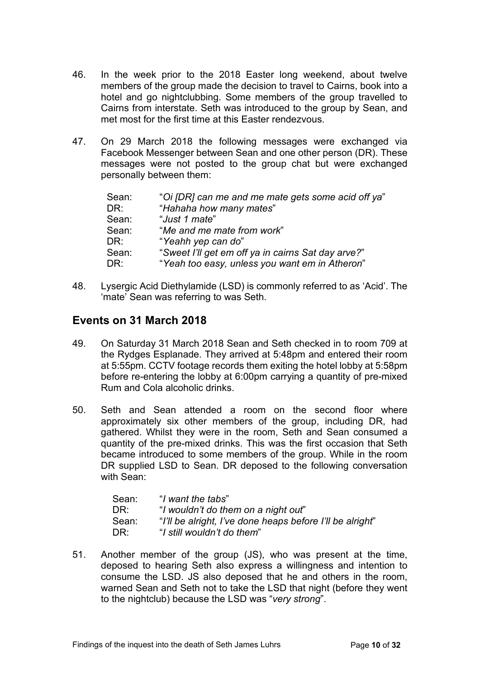- 46. In the week prior to the 2018 Easter long weekend, about twelve members of the group made the decision to travel to Cairns, book into a hotel and go nightclubbing. Some members of the group travelled to Cairns from interstate. Seth was introduced to the group by Sean, and met most for the first time at this Easter rendezvous.
- 47. On 29 March 2018 the following messages were exchanged via Facebook Messenger between Sean and one other person (DR). These messages were not posted to the group chat but were exchanged personally between them:

| "Oi [DR] can me and me mate gets some acid off ya" |
|----------------------------------------------------|
| "Hahaha how many mates"                            |
| "Just 1 mate"                                      |
| "Me and me mate from work"                         |
| "Yeahh yep can do"                                 |
| "Sweet I'll get em off ya in cairns Sat day arve?" |
| "Yeah too easy, unless you want em in Atheron"     |
|                                                    |

48. Lysergic Acid Diethylamide (LSD) is commonly referred to as 'Acid'. The 'mate' Sean was referring to was Seth.

## <span id="page-9-0"></span>**Events on 31 March 2018**

- 49. On Saturday 31 March 2018 Sean and Seth checked in to room 709 at the Rydges Esplanade. They arrived at 5:48pm and entered their room at 5:55pm. CCTV footage records them exiting the hotel lobby at 5:58pm before re-entering the lobby at 6:00pm carrying a quantity of pre-mixed Rum and Cola alcoholic drinks.
- 50. Seth and Sean attended a room on the second floor where approximately six other members of the group, including DR, had gathered. Whilst they were in the room, Seth and Sean consumed a quantity of the pre-mixed drinks. This was the first occasion that Seth became introduced to some members of the group. While in the room DR supplied LSD to Sean. DR deposed to the following conversation with Sean:

| Sean: | "I want the tabs"                                         |
|-------|-----------------------------------------------------------|
| DR:   | "I wouldn't do them on a night out"                       |
| Sean: | "I'll be alright, I've done heaps before I'll be alright" |
| DR:   | "I still wouldn't do them"                                |

51. Another member of the group (JS), who was present at the time, deposed to hearing Seth also express a willingness and intention to consume the LSD. JS also deposed that he and others in the room, warned Sean and Seth not to take the LSD that night (before they went to the nightclub) because the LSD was "*very strong*".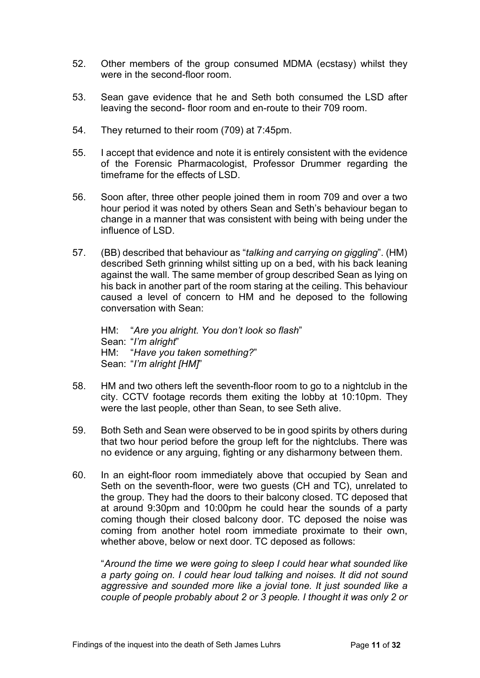- 52. Other members of the group consumed MDMA (ecstasy) whilst they were in the second-floor room.
- 53. Sean gave evidence that he and Seth both consumed the LSD after leaving the second- floor room and en-route to their 709 room.
- 54. They returned to their room (709) at 7:45pm.
- 55. I accept that evidence and note it is entirely consistent with the evidence of the Forensic Pharmacologist, Professor Drummer regarding the timeframe for the effects of LSD.
- 56. Soon after, three other people joined them in room 709 and over a two hour period it was noted by others Sean and Seth's behaviour began to change in a manner that was consistent with being with being under the influence of LSD.
- 57. (BB) described that behaviour as "*talking and carrying on giggling*". (HM) described Seth grinning whilst sitting up on a bed, with his back leaning against the wall. The same member of group described Sean as lying on his back in another part of the room staring at the ceiling. This behaviour caused a level of concern to HM and he deposed to the following conversation with Sean:

HM: "*Are you alright. You don't look so flash*" Sean: "*I'm alright*" HM: "*Have you taken something?*" Sean: "*I'm alright [HM]*"

- 58. HM and two others left the seventh-floor room to go to a nightclub in the city. CCTV footage records them exiting the lobby at 10:10pm. They were the last people, other than Sean, to see Seth alive.
- 59. Both Seth and Sean were observed to be in good spirits by others during that two hour period before the group left for the nightclubs. There was no evidence or any arguing, fighting or any disharmony between them.
- 60. In an eight-floor room immediately above that occupied by Sean and Seth on the seventh-floor, were two guests (CH and TC), unrelated to the group. They had the doors to their balcony closed. TC deposed that at around 9:30pm and 10:00pm he could hear the sounds of a party coming though their closed balcony door. TC deposed the noise was coming from another hotel room immediate proximate to their own, whether above, below or next door. TC deposed as follows:

"*Around the time we were going to sleep I could hear what sounded like a party going on. I could hear loud talking and noises. It did not sound aggressive and sounded more like a jovial tone. It just sounded like a couple of people probably about 2 or 3 people. I thought it was only 2 or*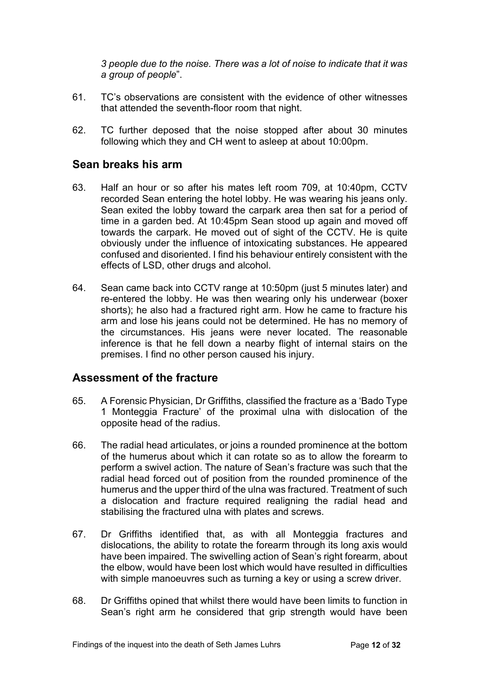*3 people due to the noise. There was a lot of noise to indicate that it was a group of people*".

- 61. TC's observations are consistent with the evidence of other witnesses that attended the seventh-floor room that night.
- 62. TC further deposed that the noise stopped after about 30 minutes following which they and CH went to asleep at about 10:00pm.

## <span id="page-11-0"></span>**Sean breaks his arm**

- 63. Half an hour or so after his mates left room 709, at 10:40pm, CCTV recorded Sean entering the hotel lobby. He was wearing his jeans only. Sean exited the lobby toward the carpark area then sat for a period of time in a garden bed. At 10:45pm Sean stood up again and moved off towards the carpark. He moved out of sight of the CCTV. He is quite obviously under the influence of intoxicating substances. He appeared confused and disoriented. I find his behaviour entirely consistent with the effects of LSD, other drugs and alcohol.
- 64. Sean came back into CCTV range at 10:50pm (just 5 minutes later) and re-entered the lobby. He was then wearing only his underwear (boxer shorts); he also had a fractured right arm. How he came to fracture his arm and lose his jeans could not be determined. He has no memory of the circumstances. His jeans were never located. The reasonable inference is that he fell down a nearby flight of internal stairs on the premises. I find no other person caused his injury.

## <span id="page-11-1"></span>**Assessment of the fracture**

- 65. A Forensic Physician, Dr Griffiths, classified the fracture as a 'Bado Type 1 Monteggia Fracture' of the proximal ulna with dislocation of the opposite head of the radius.
- 66. The radial head articulates, or joins a rounded prominence at the bottom of the humerus about which it can rotate so as to allow the forearm to perform a swivel action. The nature of Sean's fracture was such that the radial head forced out of position from the rounded prominence of the humerus and the upper third of the ulna was fractured. Treatment of such a dislocation and fracture required realigning the radial head and stabilising the fractured ulna with plates and screws.
- 67. Dr Griffiths identified that, as with all Monteggia fractures and dislocations, the ability to rotate the forearm through its long axis would have been impaired. The swivelling action of Sean's right forearm, about the elbow, would have been lost which would have resulted in difficulties with simple manoeuvres such as turning a key or using a screw driver.
- 68. Dr Griffiths opined that whilst there would have been limits to function in Sean's right arm he considered that grip strength would have been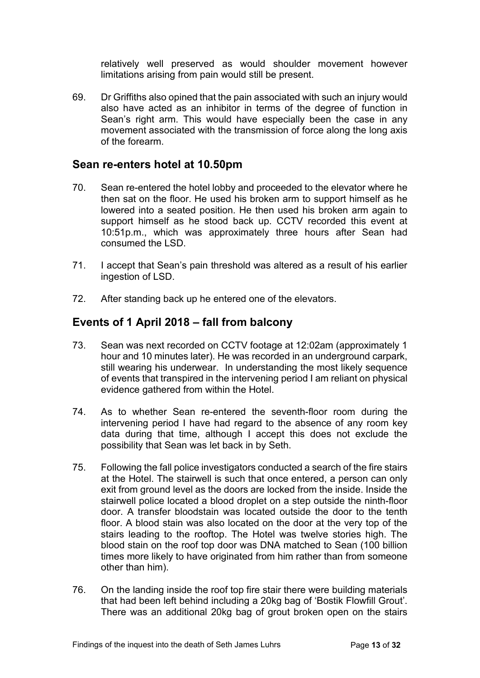relatively well preserved as would shoulder movement however limitations arising from pain would still be present.

69. Dr Griffiths also opined that the pain associated with such an injury would also have acted as an inhibitor in terms of the degree of function in Sean's right arm. This would have especially been the case in any movement associated with the transmission of force along the long axis of the forearm.

#### <span id="page-12-0"></span>**Sean re-enters hotel at 10.50pm**

- 70. Sean re-entered the hotel lobby and proceeded to the elevator where he then sat on the floor. He used his broken arm to support himself as he lowered into a seated position. He then used his broken arm again to support himself as he stood back up. CCTV recorded this event at 10:51p.m., which was approximately three hours after Sean had consumed the LSD.
- 71. I accept that Sean's pain threshold was altered as a result of his earlier ingestion of LSD.
- 72. After standing back up he entered one of the elevators.

#### <span id="page-12-1"></span>**Events of 1 April 2018 – fall from balcony**

- 73. Sean was next recorded on CCTV footage at 12:02am (approximately 1 hour and 10 minutes later). He was recorded in an underground carpark, still wearing his underwear. In understanding the most likely sequence of events that transpired in the intervening period I am reliant on physical evidence gathered from within the Hotel.
- 74. As to whether Sean re-entered the seventh-floor room during the intervening period I have had regard to the absence of any room key data during that time, although I accept this does not exclude the possibility that Sean was let back in by Seth.
- 75. Following the fall police investigators conducted a search of the fire stairs at the Hotel. The stairwell is such that once entered, a person can only exit from ground level as the doors are locked from the inside. Inside the stairwell police located a blood droplet on a step outside the ninth-floor door. A transfer bloodstain was located outside the door to the tenth floor. A blood stain was also located on the door at the very top of the stairs leading to the rooftop. The Hotel was twelve stories high. The blood stain on the roof top door was DNA matched to Sean (100 billion times more likely to have originated from him rather than from someone other than him).
- 76. On the landing inside the roof top fire stair there were building materials that had been left behind including a 20kg bag of 'Bostik Flowfill Grout'. There was an additional 20kg bag of grout broken open on the stairs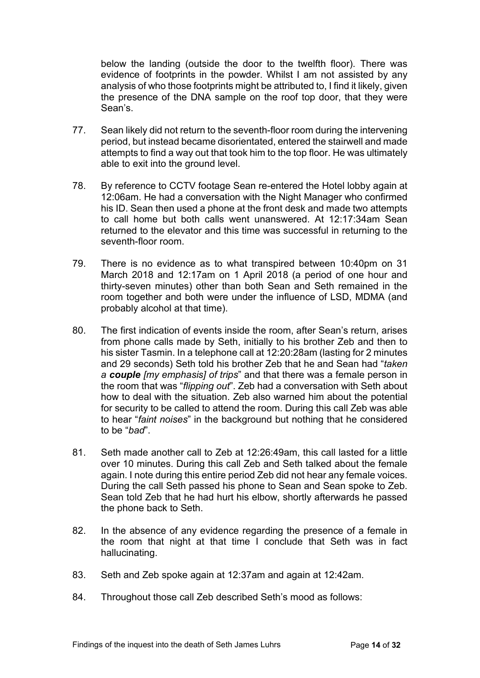below the landing (outside the door to the twelfth floor). There was evidence of footprints in the powder. Whilst I am not assisted by any analysis of who those footprints might be attributed to, I find it likely, given the presence of the DNA sample on the roof top door, that they were Sean's.

- 77. Sean likely did not return to the seventh-floor room during the intervening period, but instead became disorientated, entered the stairwell and made attempts to find a way out that took him to the top floor. He was ultimately able to exit into the ground level.
- 78. By reference to CCTV footage Sean re-entered the Hotel lobby again at 12:06am. He had a conversation with the Night Manager who confirmed his ID. Sean then used a phone at the front desk and made two attempts to call home but both calls went unanswered. At 12:17:34am Sean returned to the elevator and this time was successful in returning to the seventh-floor room.
- 79. There is no evidence as to what transpired between 10:40pm on 31 March 2018 and 12:17am on 1 April 2018 (a period of one hour and thirty-seven minutes) other than both Sean and Seth remained in the room together and both were under the influence of LSD, MDMA (and probably alcohol at that time).
- 80. The first indication of events inside the room, after Sean's return, arises from phone calls made by Seth, initially to his brother Zeb and then to his sister Tasmin. In a telephone call at 12:20:28am (lasting for 2 minutes and 29 seconds) Seth told his brother Zeb that he and Sean had "*taken a couple [my emphasis] of trips*" and that there was a female person in the room that was "*flipping out*". Zeb had a conversation with Seth about how to deal with the situation. Zeb also warned him about the potential for security to be called to attend the room. During this call Zeb was able to hear "*faint noises*" in the background but nothing that he considered to be "*bad*".
- 81. Seth made another call to Zeb at 12:26:49am, this call lasted for a little over 10 minutes. During this call Zeb and Seth talked about the female again. I note during this entire period Zeb did not hear any female voices. During the call Seth passed his phone to Sean and Sean spoke to Zeb. Sean told Zeb that he had hurt his elbow, shortly afterwards he passed the phone back to Seth.
- 82. In the absence of any evidence regarding the presence of a female in the room that night at that time I conclude that Seth was in fact hallucinating.
- 83. Seth and Zeb spoke again at 12:37am and again at 12:42am.
- 84. Throughout those call Zeb described Seth's mood as follows: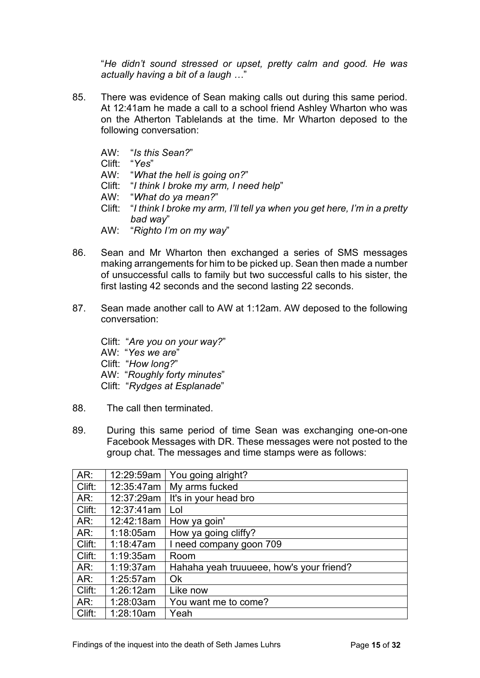"*He didn't sound stressed or upset, pretty calm and good. He was actually having a bit of a laugh …*"

- 85. There was evidence of Sean making calls out during this same period. At 12:41am he made a call to a school friend Ashley Wharton who was on the Atherton Tablelands at the time. Mr Wharton deposed to the following conversation:
	- AW: "*Is this Sean?*"
	- Clift: "*Yes*"
	- AW: "*What the hell is going on?*"
	- Clift: "*I think I broke my arm, I need help*"
	- AW: "*What do ya mean?*"
	- Clift: "*I think I broke my arm, I'll tell ya when you get here, I'm in a pretty bad way*"
	- AW: "*Righto I'm on my way*"
- 86. Sean and Mr Wharton then exchanged a series of SMS messages making arrangements for him to be picked up. Sean then made a number of unsuccessful calls to family but two successful calls to his sister, the first lasting 42 seconds and the second lasting 22 seconds.
- 87. Sean made another call to AW at 1:12am. AW deposed to the following conversation:

Clift: "*Are you on your way?*" AW: "*Yes we are*" Clift: "*How long?*" AW: "*Roughly forty minutes*" Clift: "*Rydges at Esplanade*"

- 88. The call then terminated.
- 89. During this same period of time Sean was exchanging one-on-one Facebook Messages with DR. These messages were not posted to the group chat. The messages and time stamps were as follows:

| AR:    | 12:29:59am | You going alright?                       |
|--------|------------|------------------------------------------|
| Clift: | 12:35:47am | My arms fucked                           |
| AR:    | 12:37:29am | It's in your head bro                    |
| Clift: | 12:37:41am | Lol                                      |
| AR:    | 12:42:18am | How ya goin'                             |
| AR:    | 1:18:05am  | How ya going cliffy?                     |
| Clift: | 1:18:47am  | I need company goon 709                  |
| Clift: | 1:19:35am  | Room                                     |
| AR:    | 1:19:37am  | Hahaha yeah truuueee, how's your friend? |
| AR:    | 1:25:57am  | Ok                                       |
| Clift: | 1:26:12am  | Like now                                 |
| AR:    | 1:28:03am  | You want me to come?                     |
| Clift: | 1:28:10am  | Yeah                                     |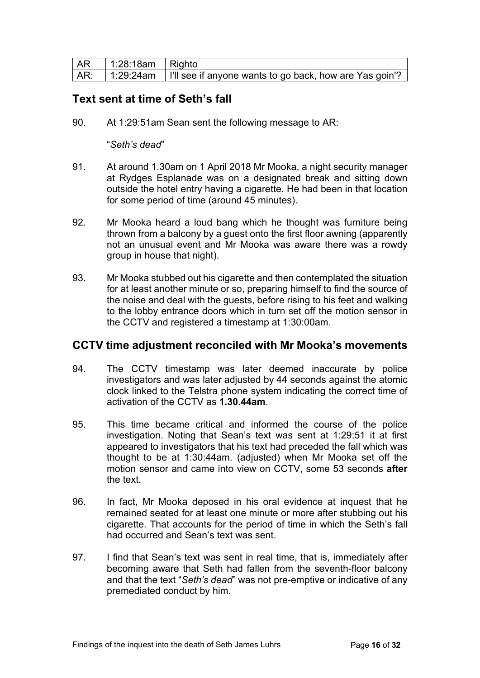| <b>AR</b> | 1:28:18am   Righto |                                                                                            |
|-----------|--------------------|--------------------------------------------------------------------------------------------|
|           |                    | │ AR:  │ 1:29:24am  │ I'll see if anyone wants to go back, how are Yas goin'? <sup>↓</sup> |

## <span id="page-15-0"></span>**Text sent at time of Seth's fall**

90. At 1:29:51am Sean sent the following message to AR:

#### "*Seth's dead*"

- 91. At around 1.30am on 1 April 2018 Mr Mooka, a night security manager at Rydges Esplanade was on a designated break and sitting down outside the hotel entry having a cigarette. He had been in that location for some period of time (around 45 minutes).
- 92. Mr Mooka heard a loud bang which he thought was furniture being thrown from a balcony by a guest onto the first floor awning (apparently not an unusual event and Mr Mooka was aware there was a rowdy group in house that night).
- 93. Mr Mooka stubbed out his cigarette and then contemplated the situation for at least another minute or so, preparing himself to find the source of the noise and deal with the guests, before rising to his feet and walking to the lobby entrance doors which in turn set off the motion sensor in the CCTV and registered a timestamp at 1:30:00am.

#### <span id="page-15-1"></span>**CCTV time adjustment reconciled with Mr Mooka's movements**

- 94. The CCTV timestamp was later deemed inaccurate by police investigators and was later adjusted by 44 seconds against the atomic clock linked to the Telstra phone system indicating the correct time of activation of the CCTV as **1.30.44am**.
- 95. This time became critical and informed the course of the police investigation. Noting that Sean's text was sent at 1:29:51 it at first appeared to investigators that his text had preceded the fall which was thought to be at 1:30:44am. (adjusted) when Mr Mooka set off the motion sensor and came into view on CCTV, some 53 seconds **after** the text.
- 96. In fact, Mr Mooka deposed in his oral evidence at inquest that he remained seated for at least one minute or more after stubbing out his cigarette. That accounts for the period of time in which the Seth's fall had occurred and Sean's text was sent.
- 97. I find that Sean's text was sent in real time, that is, immediately after becoming aware that Seth had fallen from the seventh-floor balcony and that the text "*Seth's dead*" was not pre-emptive or indicative of any premediated conduct by him.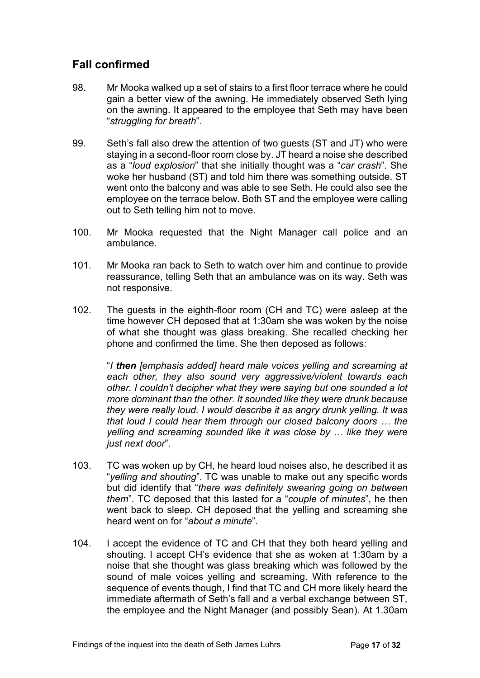# <span id="page-16-0"></span>**Fall confirmed**

- 98. Mr Mooka walked up a set of stairs to a first floor terrace where he could gain a better view of the awning. He immediately observed Seth lying on the awning. It appeared to the employee that Seth may have been "*struggling for breath*".
- 99. Seth's fall also drew the attention of two guests (ST and JT) who were staying in a second-floor room close by. JT heard a noise she described as a "*loud explosion*" that she initially thought was a "*car crash*". She woke her husband (ST) and told him there was something outside. ST went onto the balcony and was able to see Seth. He could also see the employee on the terrace below. Both ST and the employee were calling out to Seth telling him not to move.
- 100. Mr Mooka requested that the Night Manager call police and an ambulance.
- 101. Mr Mooka ran back to Seth to watch over him and continue to provide reassurance, telling Seth that an ambulance was on its way. Seth was not responsive.
- 102. The guests in the eighth-floor room (CH and TC) were asleep at the time however CH deposed that at 1:30am she was woken by the noise of what she thought was glass breaking. She recalled checking her phone and confirmed the time. She then deposed as follows:

"*I then [emphasis added] heard male voices yelling and screaming at each other, they also sound very aggressive/violent towards each other. I couldn't decipher what they were saying but one sounded a lot more dominant than the other. It sounded like they were drunk because they were really loud. I would describe it as angry drunk yelling. It was that loud I could hear them through our closed balcony doors … the yelling and screaming sounded like it was close by … like they were just next door*".

- 103. TC was woken up by CH, he heard loud noises also, he described it as "*yelling and shouting*". TC was unable to make out any specific words but did identify that "*there was definitely swearing going on between them*". TC deposed that this lasted for a "*couple of minutes*", he then went back to sleep. CH deposed that the yelling and screaming she heard went on for "*about a minute*".
- 104. I accept the evidence of TC and CH that they both heard yelling and shouting. I accept CH's evidence that she as woken at 1:30am by a noise that she thought was glass breaking which was followed by the sound of male voices yelling and screaming. With reference to the sequence of events though, I find that TC and CH more likely heard the immediate aftermath of Seth's fall and a verbal exchange between ST, the employee and the Night Manager (and possibly Sean). At 1.30am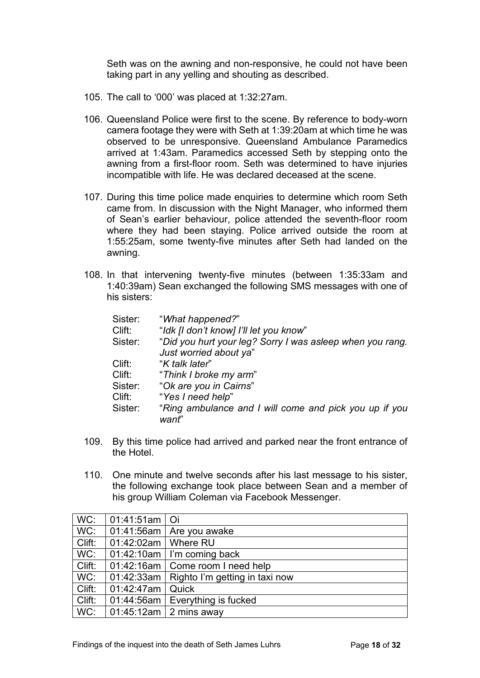Seth was on the awning and non-responsive, he could not have been taking part in any yelling and shouting as described.

- 105. The call to '000' was placed at 1:32:27am.
- 106. Queensland Police were first to the scene. By reference to body-worn camera footage they were with Seth at 1:39:20am at which time he was observed to be unresponsive. Queensland Ambulance Paramedics arrived at 1:43am. Paramedics accessed Seth by stepping onto the awning from a first-floor room. Seth was determined to have injuries incompatible with life. He was declared deceased at the scene.
- 107. During this time police made enquiries to determine which room Seth came from. In discussion with the Night Manager, who informed them of Sean's earlier behaviour, police attended the seventh-floor room where they had been staying. Police arrived outside the room at 1:55:25am, some twenty-five minutes after Seth had landed on the awning.
- 108. In that intervening twenty-five minutes (between 1:35:33am and 1:40:39am) Sean exchanged the following SMS messages with one of his sisters:

| Sister:<br>Clift:<br>Sister:                     | "What happened?"<br>"Idk [I don't know] I'll let you know"<br>"Did you hurt your leg? Sorry I was asleep when you rang.<br>Just worried about ya"          |
|--------------------------------------------------|------------------------------------------------------------------------------------------------------------------------------------------------------------|
| Clift:<br>Clift:<br>Sister:<br>Clift:<br>Sister: | "K talk later"<br>"Think I broke my arm"<br>"Ok are you in Cairns"<br>"Yes I need help"<br>"Ring ambulance and I will come and pick you up if you<br>want" |

- 109. By this time police had arrived and parked near the front entrance of the Hotel.
- 110. One minute and twelve seconds after his last message to his sister, the following exchange took place between Sean and a member of his group William Coleman via Facebook Messenger.

| WC:    | 01:41:51am   Oi       |                                             |
|--------|-----------------------|---------------------------------------------|
| WC:    |                       | 01:41:56am   Are you awake                  |
| Clift: | 01:42:02am   Where RU |                                             |
| WC:    |                       | $01:42:10am$ I'm coming back                |
| Clift: |                       | 01:42:16am   Come room I need help          |
| WC:    |                       | 01:42:33am   Righto I'm getting in taxi now |
| Clift: | 01:42:47am            | Quick                                       |
| Clift: |                       | 01:44:56am   Everything is fucked           |
| WC:    |                       | $01:45:12am \mid 2 mins$ away               |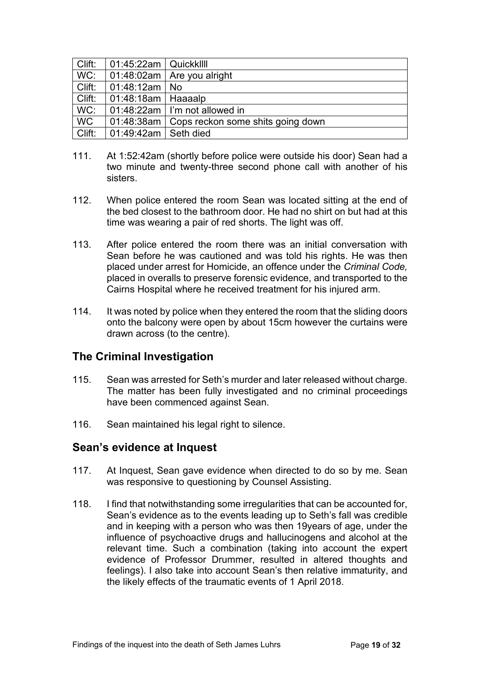| Clift:    | 01:45:22am   Quickkllll |                                                |
|-----------|-------------------------|------------------------------------------------|
| WC:       |                         | $\vert$ 01:48:02am $\vert$ Are you alright     |
| Clift:    | 01:48:12am   No         |                                                |
| Clift:    | 01:48:18am   Haaaalp    |                                                |
| WC:       |                         | $\vert$ 01:48:22am $\vert$ I'm not allowed in  |
| <b>WC</b> |                         | 01:48:38am   Cops reckon some shits going down |
| Clift:    | 01:49:42am   Seth died  |                                                |

- 111. At 1:52:42am (shortly before police were outside his door) Sean had a two minute and twenty-three second phone call with another of his sisters.
- 112. When police entered the room Sean was located sitting at the end of the bed closest to the bathroom door. He had no shirt on but had at this time was wearing a pair of red shorts. The light was off.
- 113. After police entered the room there was an initial conversation with Sean before he was cautioned and was told his rights. He was then placed under arrest for Homicide, an offence under the *Criminal Code,* placed in overalls to preserve forensic evidence, and transported to the Cairns Hospital where he received treatment for his injured arm.
- 114. It was noted by police when they entered the room that the sliding doors onto the balcony were open by about 15cm however the curtains were drawn across (to the centre).

## <span id="page-18-0"></span>**The Criminal Investigation**

- 115. Sean was arrested for Seth's murder and later released without charge. The matter has been fully investigated and no criminal proceedings have been commenced against Sean.
- 116. Sean maintained his legal right to silence.

#### <span id="page-18-1"></span>**Sean's evidence at Inquest**

- 117. At Inquest, Sean gave evidence when directed to do so by me. Sean was responsive to questioning by Counsel Assisting.
- 118. I find that notwithstanding some irregularities that can be accounted for, Sean's evidence as to the events leading up to Seth's fall was credible and in keeping with a person who was then 19years of age, under the influence of psychoactive drugs and hallucinogens and alcohol at the relevant time. Such a combination (taking into account the expert evidence of Professor Drummer, resulted in altered thoughts and feelings). I also take into account Sean's then relative immaturity, and the likely effects of the traumatic events of 1 April 2018.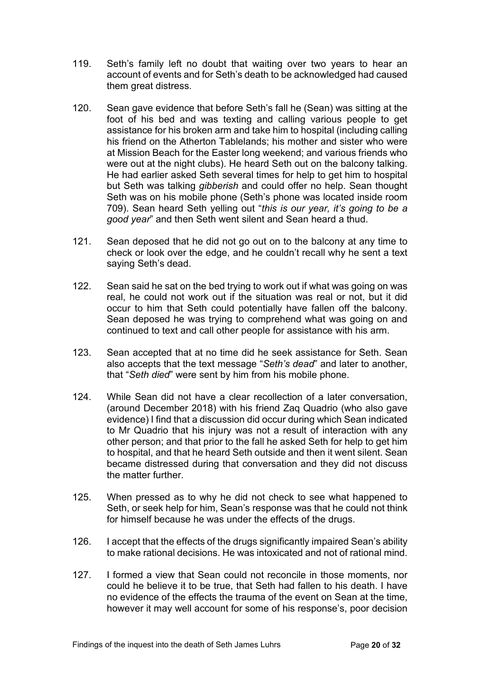- 119. Seth's family left no doubt that waiting over two years to hear an account of events and for Seth's death to be acknowledged had caused them great distress.
- 120. Sean gave evidence that before Seth's fall he (Sean) was sitting at the foot of his bed and was texting and calling various people to get assistance for his broken arm and take him to hospital (including calling his friend on the Atherton Tablelands; his mother and sister who were at Mission Beach for the Easter long weekend; and various friends who were out at the night clubs). He heard Seth out on the balcony talking. He had earlier asked Seth several times for help to get him to hospital but Seth was talking *gibberish* and could offer no help. Sean thought Seth was on his mobile phone (Seth's phone was located inside room 709). Sean heard Seth yelling out "*this is our year, it's going to be a good year*" and then Seth went silent and Sean heard a thud.
- 121. Sean deposed that he did not go out on to the balcony at any time to check or look over the edge, and he couldn't recall why he sent a text saying Seth's dead.
- 122. Sean said he sat on the bed trying to work out if what was going on was real, he could not work out if the situation was real or not, but it did occur to him that Seth could potentially have fallen off the balcony. Sean deposed he was trying to comprehend what was going on and continued to text and call other people for assistance with his arm.
- 123. Sean accepted that at no time did he seek assistance for Seth. Sean also accepts that the text message "*Seth's dead*" and later to another, that "*Seth died*" were sent by him from his mobile phone.
- 124. While Sean did not have a clear recollection of a later conversation, (around December 2018) with his friend Zaq Quadrio (who also gave evidence) I find that a discussion did occur during which Sean indicated to Mr Quadrio that his injury was not a result of interaction with any other person; and that prior to the fall he asked Seth for help to get him to hospital, and that he heard Seth outside and then it went silent. Sean became distressed during that conversation and they did not discuss the matter further.
- 125. When pressed as to why he did not check to see what happened to Seth, or seek help for him, Sean's response was that he could not think for himself because he was under the effects of the drugs.
- 126. I accept that the effects of the drugs significantly impaired Sean's ability to make rational decisions. He was intoxicated and not of rational mind.
- 127. I formed a view that Sean could not reconcile in those moments, nor could he believe it to be true, that Seth had fallen to his death. I have no evidence of the effects the trauma of the event on Sean at the time, however it may well account for some of his response's, poor decision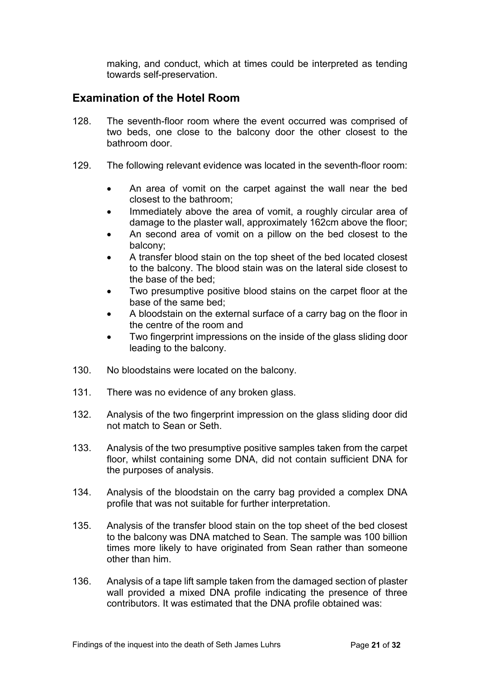making, and conduct, which at times could be interpreted as tending towards self-preservation.

## <span id="page-20-0"></span>**Examination of the Hotel Room**

- 128. The seventh-floor room where the event occurred was comprised of two beds, one close to the balcony door the other closest to the bathroom door.
- 129. The following relevant evidence was located in the seventh-floor room:
	- An area of vomit on the carpet against the wall near the bed closest to the bathroom;
	- Immediately above the area of vomit, a roughly circular area of damage to the plaster wall, approximately 162cm above the floor;
	- An second area of vomit on a pillow on the bed closest to the balcony;
	- A transfer blood stain on the top sheet of the bed located closest to the balcony. The blood stain was on the lateral side closest to the base of the bed;
	- Two presumptive positive blood stains on the carpet floor at the base of the same bed;
	- A bloodstain on the external surface of a carry bag on the floor in the centre of the room and
	- Two fingerprint impressions on the inside of the glass sliding door leading to the balcony.
- 130. No bloodstains were located on the balcony.
- 131. There was no evidence of any broken glass.
- 132. Analysis of the two fingerprint impression on the glass sliding door did not match to Sean or Seth.
- 133. Analysis of the two presumptive positive samples taken from the carpet floor, whilst containing some DNA, did not contain sufficient DNA for the purposes of analysis.
- 134. Analysis of the bloodstain on the carry bag provided a complex DNA profile that was not suitable for further interpretation.
- 135. Analysis of the transfer blood stain on the top sheet of the bed closest to the balcony was DNA matched to Sean. The sample was 100 billion times more likely to have originated from Sean rather than someone other than him.
- 136. Analysis of a tape lift sample taken from the damaged section of plaster wall provided a mixed DNA profile indicating the presence of three contributors. It was estimated that the DNA profile obtained was: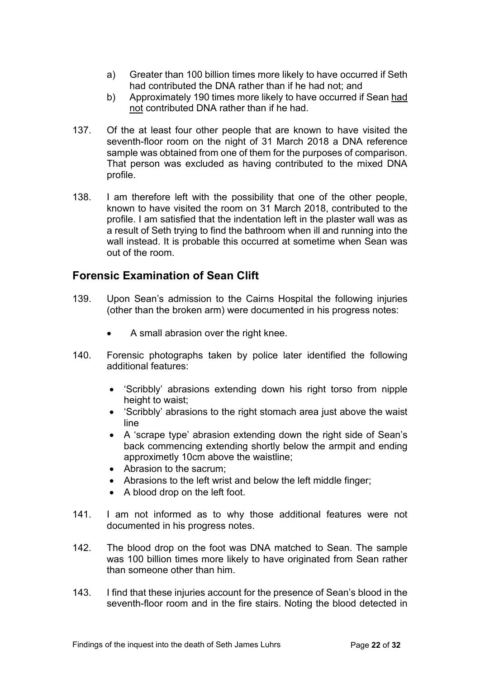- a) Greater than 100 billion times more likely to have occurred if Seth had contributed the DNA rather than if he had not; and
- b) Approximately 190 times more likely to have occurred if Sean had not contributed DNA rather than if he had.
- 137. Of the at least four other people that are known to have visited the seventh-floor room on the night of 31 March 2018 a DNA reference sample was obtained from one of them for the purposes of comparison. That person was excluded as having contributed to the mixed DNA profile.
- 138. I am therefore left with the possibility that one of the other people, known to have visited the room on 31 March 2018, contributed to the profile. I am satisfied that the indentation left in the plaster wall was as a result of Seth trying to find the bathroom when ill and running into the wall instead. It is probable this occurred at sometime when Sean was out of the room.

# <span id="page-21-0"></span>**Forensic Examination of Sean Clift**

- 139. Upon Sean's admission to the Cairns Hospital the following injuries (other than the broken arm) were documented in his progress notes:
	- A small abrasion over the right knee.
- 140. Forensic photographs taken by police later identified the following additional features:
	- 'Scribbly' abrasions extending down his right torso from nipple height to waist;
	- 'Scribbly' abrasions to the right stomach area just above the waist line
	- A 'scrape type' abrasion extending down the right side of Sean's back commencing extending shortly below the armpit and ending approximetly 10cm above the waistline;
	- Abrasion to the sacrum;
	- Abrasions to the left wrist and below the left middle finger;
	- A blood drop on the left foot.
- 141. I am not informed as to why those additional features were not documented in his progress notes.
- 142. The blood drop on the foot was DNA matched to Sean. The sample was 100 billion times more likely to have originated from Sean rather than someone other than him.
- 143. I find that these injuries account for the presence of Sean's blood in the seventh-floor room and in the fire stairs. Noting the blood detected in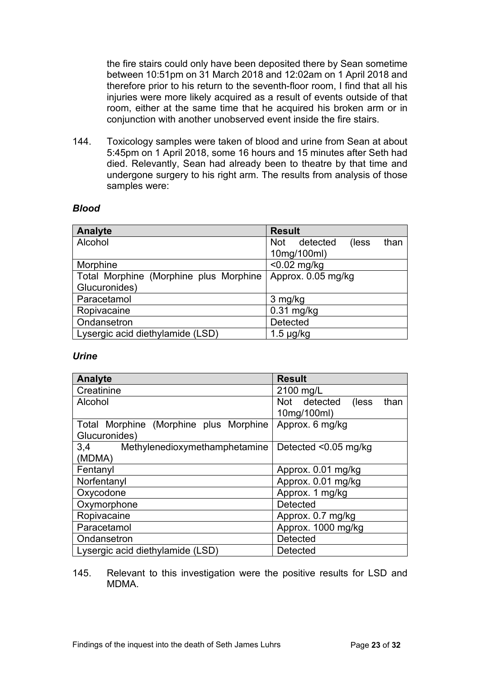the fire stairs could only have been deposited there by Sean sometime between 10:51pm on 31 March 2018 and 12:02am on 1 April 2018 and therefore prior to his return to the seventh-floor room, I find that all his injuries were more likely acquired as a result of events outside of that room, either at the same time that he acquired his broken arm or in conjunction with another unobserved event inside the fire stairs.

144. Toxicology samples were taken of blood and urine from Sean at about 5:45pm on 1 April 2018, some 16 hours and 15 minutes after Seth had died. Relevantly, Sean had already been to theatre by that time and undergone surgery to his right arm. The results from analysis of those samples were:

#### *Blood*

| Analyte                                | <b>Result</b>                           |
|----------------------------------------|-----------------------------------------|
| Alcohol                                | <b>Not</b><br>detected<br>than<br>(less |
|                                        | 10mg/100ml)                             |
| Morphine                               | $< 0.02$ mg/kg                          |
| Total Morphine (Morphine plus Morphine | Approx. 0.05 mg/kg                      |
| Glucuronides)                          |                                         |
| Paracetamol                            | 3 mg/kg                                 |
| Ropivacaine                            | $0.31$ mg/kg                            |
| Ondansetron                            | <b>Detected</b>                         |
| Lysergic acid diethylamide (LSD)       | $1.5 \mu g/kg$                          |

#### *Urine*

| <b>Analyte</b>                         | <b>Result</b>                  |  |
|----------------------------------------|--------------------------------|--|
| Creatinine                             | 2100 mg/L                      |  |
| Alcohol                                | Not detected<br>(less)<br>than |  |
|                                        | 10mg/100ml)                    |  |
| Total Morphine (Morphine plus Morphine | Approx. 6 mg/kg                |  |
| Glucuronides)                          |                                |  |
| 3.4<br>Methylenedioxymethamphetamine   | Detected $< 0.05$ mg/kg        |  |
| (MDMA)                                 |                                |  |
| Fentanyl                               | Approx. 0.01 mg/kg             |  |
| Norfentanyl                            | Approx. 0.01 mg/kg             |  |
| Oxycodone                              | Approx. 1 mg/kg                |  |
| Oxymorphone                            | Detected                       |  |
| Ropivacaine                            | Approx. 0.7 mg/kg              |  |
| Paracetamol                            | Approx. 1000 mg/kg             |  |
| Ondansetron                            | <b>Detected</b>                |  |
| Lysergic acid diethylamide (LSD)       | <b>Detected</b>                |  |

145. Relevant to this investigation were the positive results for LSD and MDMA.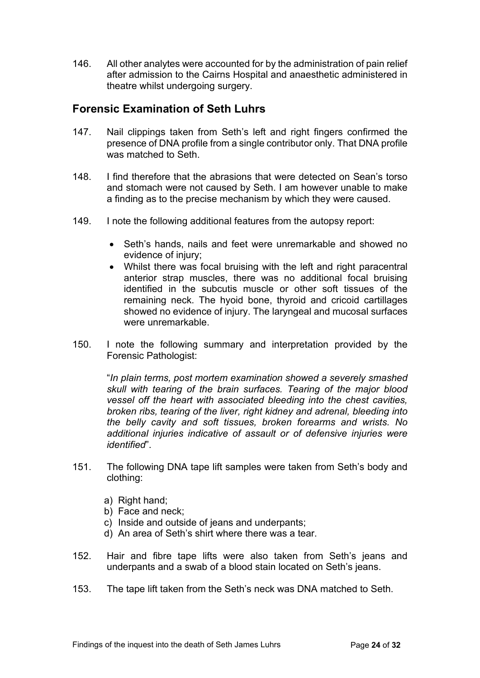146. All other analytes were accounted for by the administration of pain relief after admission to the Cairns Hospital and anaesthetic administered in theatre whilst undergoing surgery.

## <span id="page-23-0"></span>**Forensic Examination of Seth Luhrs**

- 147. Nail clippings taken from Seth's left and right fingers confirmed the presence of DNA profile from a single contributor only. That DNA profile was matched to Seth.
- 148. I find therefore that the abrasions that were detected on Sean's torso and stomach were not caused by Seth. I am however unable to make a finding as to the precise mechanism by which they were caused.
- 149. I note the following additional features from the autopsy report:
	- Seth's hands, nails and feet were unremarkable and showed no evidence of injury;
	- Whilst there was focal bruising with the left and right paracentral anterior strap muscles, there was no additional focal bruising identified in the subcutis muscle or other soft tissues of the remaining neck. The hyoid bone, thyroid and cricoid cartillages showed no evidence of injury. The laryngeal and mucosal surfaces were unremarkable.
- 150. I note the following summary and interpretation provided by the Forensic Pathologist:

"*In plain terms, post mortem examination showed a severely smashed skull with tearing of the brain surfaces. Tearing of the major blood vessel off the heart with associated bleeding into the chest cavities, broken ribs, tearing of the liver, right kidney and adrenal, bleeding into the belly cavity and soft tissues, broken forearms and wrists. No additional injuries indicative of assault or of defensive injuries were identified*".

- 151. The following DNA tape lift samples were taken from Seth's body and clothing:
	- a) Right hand;
	- b) Face and neck;
	- c) Inside and outside of jeans and underpants;
	- d) An area of Seth's shirt where there was a tear.
- 152. Hair and fibre tape lifts were also taken from Seth's jeans and underpants and a swab of a blood stain located on Seth's jeans.
- 153. The tape lift taken from the Seth's neck was DNA matched to Seth.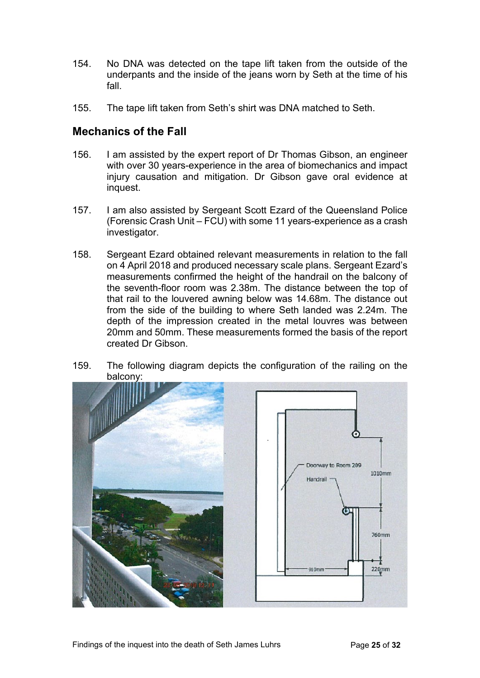- 154. No DNA was detected on the tape lift taken from the outside of the underpants and the inside of the jeans worn by Seth at the time of his fall.
- 155. The tape lift taken from Seth's shirt was DNA matched to Seth.

## <span id="page-24-0"></span>**Mechanics of the Fall**

- 156. I am assisted by the expert report of Dr Thomas Gibson, an engineer with over 30 years-experience in the area of biomechanics and impact injury causation and mitigation. Dr Gibson gave oral evidence at inquest.
- 157. I am also assisted by Sergeant Scott Ezard of the Queensland Police (Forensic Crash Unit – FCU) with some 11 years-experience as a crash investigator.
- 158. Sergeant Ezard obtained relevant measurements in relation to the fall on 4 April 2018 and produced necessary scale plans. Sergeant Ezard's measurements confirmed the height of the handrail on the balcony of the seventh-floor room was 2.38m. The distance between the top of that rail to the louvered awning below was 14.68m. The distance out from the side of the building to where Seth landed was 2.24m. The depth of the impression created in the metal louvres was between 20mm and 50mm. These measurements formed the basis of the report created Dr Gibson.
- 159. The following diagram depicts the configuration of the railing on the balcony:

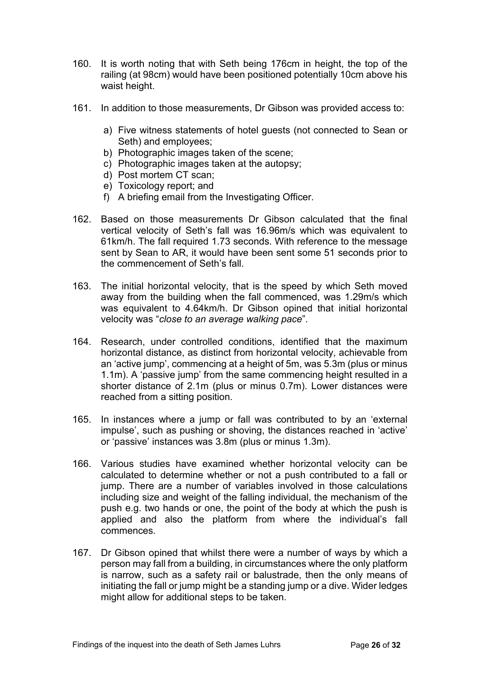- 160. It is worth noting that with Seth being 176cm in height, the top of the railing (at 98cm) would have been positioned potentially 10cm above his waist height.
- 161. In addition to those measurements, Dr Gibson was provided access to:
	- a) Five witness statements of hotel guests (not connected to Sean or Seth) and employees;
	- b) Photographic images taken of the scene;
	- c) Photographic images taken at the autopsy;
	- d) Post mortem CT scan;
	- e) Toxicology report; and
	- f) A briefing email from the Investigating Officer.
- 162. Based on those measurements Dr Gibson calculated that the final vertical velocity of Seth's fall was 16.96m/s which was equivalent to 61km/h. The fall required 1.73 seconds. With reference to the message sent by Sean to AR, it would have been sent some 51 seconds prior to the commencement of Seth's fall.
- 163. The initial horizontal velocity, that is the speed by which Seth moved away from the building when the fall commenced, was 1.29m/s which was equivalent to 4.64km/h. Dr Gibson opined that initial horizontal velocity was "*close to an average walking pace*".
- 164. Research, under controlled conditions, identified that the maximum horizontal distance, as distinct from horizontal velocity, achievable from an 'active jump', commencing at a height of 5m, was 5.3m (plus or minus 1.1m). A 'passive jump' from the same commencing height resulted in a shorter distance of 2.1m (plus or minus 0.7m). Lower distances were reached from a sitting position.
- 165. In instances where a jump or fall was contributed to by an 'external impulse', such as pushing or shoving, the distances reached in 'active' or 'passive' instances was 3.8m (plus or minus 1.3m).
- 166. Various studies have examined whether horizontal velocity can be calculated to determine whether or not a push contributed to a fall or jump. There are a number of variables involved in those calculations including size and weight of the falling individual, the mechanism of the push e.g. two hands or one, the point of the body at which the push is applied and also the platform from where the individual's fall commences.
- 167. Dr Gibson opined that whilst there were a number of ways by which a person may fall from a building, in circumstances where the only platform is narrow, such as a safety rail or balustrade, then the only means of initiating the fall or jump might be a standing jump or a dive. Wider ledges might allow for additional steps to be taken.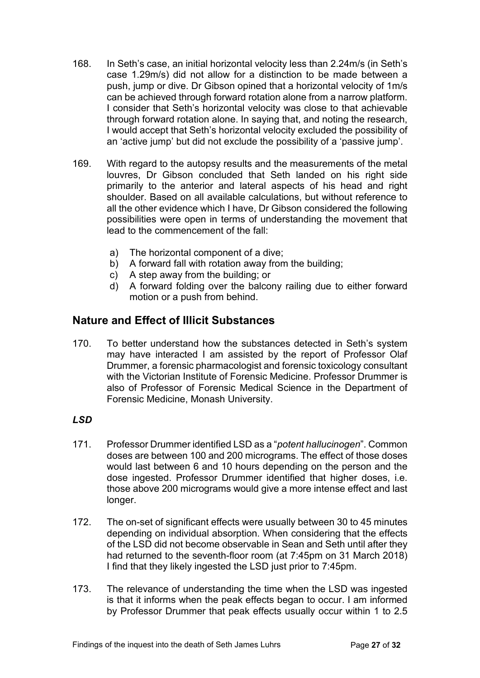- 168. In Seth's case, an initial horizontal velocity less than 2.24m/s (in Seth's case 1.29m/s) did not allow for a distinction to be made between a push, jump or dive. Dr Gibson opined that a horizontal velocity of 1m/s can be achieved through forward rotation alone from a narrow platform. I consider that Seth's horizontal velocity was close to that achievable through forward rotation alone. In saying that, and noting the research, I would accept that Seth's horizontal velocity excluded the possibility of an 'active jump' but did not exclude the possibility of a 'passive jump'.
- 169. With regard to the autopsy results and the measurements of the metal louvres, Dr Gibson concluded that Seth landed on his right side primarily to the anterior and lateral aspects of his head and right shoulder. Based on all available calculations, but without reference to all the other evidence which I have, Dr Gibson considered the following possibilities were open in terms of understanding the movement that lead to the commencement of the fall:
	- a) The horizontal component of a dive;
	- b) A forward fall with rotation away from the building;
	- c) A step away from the building; or
	- d) A forward folding over the balcony railing due to either forward motion or a push from behind.

## <span id="page-26-0"></span>**Nature and Effect of Illicit Substances**

170. To better understand how the substances detected in Seth's system may have interacted I am assisted by the report of Professor Olaf Drummer, a forensic pharmacologist and forensic toxicology consultant with the Victorian Institute of Forensic Medicine. Professor Drummer is also of Professor of Forensic Medical Science in the Department of Forensic Medicine, Monash University.

#### <span id="page-26-1"></span>*LSD*

- 171. Professor Drummer identified LSD as a "*potent hallucinogen*". Common doses are between 100 and 200 micrograms. The effect of those doses would last between 6 and 10 hours depending on the person and the dose ingested. Professor Drummer identified that higher doses, i.e. those above 200 micrograms would give a more intense effect and last longer.
- 172. The on-set of significant effects were usually between 30 to 45 minutes depending on individual absorption. When considering that the effects of the LSD did not become observable in Sean and Seth until after they had returned to the seventh-floor room (at 7:45pm on 31 March 2018) I find that they likely ingested the LSD just prior to 7:45pm.
- 173. The relevance of understanding the time when the LSD was ingested is that it informs when the peak effects began to occur. I am informed by Professor Drummer that peak effects usually occur within 1 to 2.5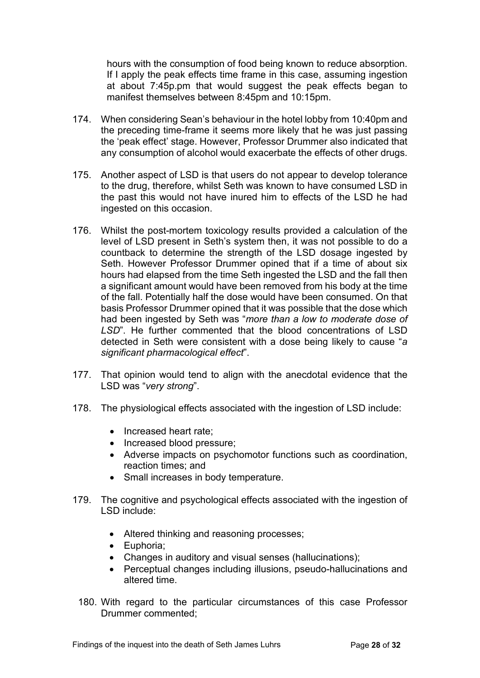hours with the consumption of food being known to reduce absorption. If I apply the peak effects time frame in this case, assuming ingestion at about 7:45p.pm that would suggest the peak effects began to manifest themselves between 8:45pm and 10:15pm.

- 174. When considering Sean's behaviour in the hotel lobby from 10:40pm and the preceding time-frame it seems more likely that he was just passing the 'peak effect' stage. However, Professor Drummer also indicated that any consumption of alcohol would exacerbate the effects of other drugs.
- 175. Another aspect of LSD is that users do not appear to develop tolerance to the drug, therefore, whilst Seth was known to have consumed LSD in the past this would not have inured him to effects of the LSD he had ingested on this occasion.
- 176. Whilst the post-mortem toxicology results provided a calculation of the level of LSD present in Seth's system then, it was not possible to do a countback to determine the strength of the LSD dosage ingested by Seth. However Professor Drummer opined that if a time of about six hours had elapsed from the time Seth ingested the LSD and the fall then a significant amount would have been removed from his body at the time of the fall. Potentially half the dose would have been consumed. On that basis Professor Drummer opined that it was possible that the dose which had been ingested by Seth was "*more than a low to moderate dose of LSD*". He further commented that the blood concentrations of LSD detected in Seth were consistent with a dose being likely to cause "*a significant pharmacological effect*".
- 177. That opinion would tend to align with the anecdotal evidence that the LSD was "*very strong*".
- 178. The physiological effects associated with the ingestion of LSD include:
	- Increased heart rate:
	- Increased blood pressure;
	- Adverse impacts on psychomotor functions such as coordination, reaction times; and
	- Small increases in body temperature.
- 179. The cognitive and psychological effects associated with the ingestion of LSD include:
	- Altered thinking and reasoning processes;
	- Euphoria;
	- Changes in auditory and visual senses (hallucinations);
	- Perceptual changes including illusions, pseudo-hallucinations and altered time.
	- 180. With regard to the particular circumstances of this case Professor Drummer commented;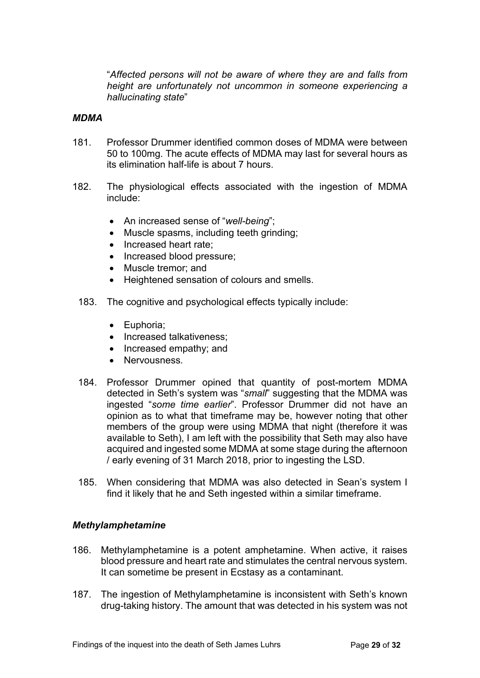"*Affected persons will not be aware of where they are and falls from height are unfortunately not uncommon in someone experiencing a hallucinating state*"

#### <span id="page-28-0"></span>*MDMA*

- 181. Professor Drummer identified common doses of MDMA were between 50 to 100mg. The acute effects of MDMA may last for several hours as its elimination half-life is about 7 hours.
- 182. The physiological effects associated with the ingestion of MDMA include:
	- An increased sense of "*well-being*";
	- Muscle spasms, including teeth grinding;
	- Increased heart rate:
	- Increased blood pressure;
	- Muscle tremor: and
	- Heightened sensation of colours and smells.
	- 183. The cognitive and psychological effects typically include:
		- Euphoria;
		- Increased talkativeness;
		- Increased empathy; and
		- Nervousness.
	- 184. Professor Drummer opined that quantity of post-mortem MDMA detected in Seth's system was "*small*" suggesting that the MDMA was ingested "*some time earlier*". Professor Drummer did not have an opinion as to what that timeframe may be, however noting that other members of the group were using MDMA that night (therefore it was available to Seth), I am left with the possibility that Seth may also have acquired and ingested some MDMA at some stage during the afternoon / early evening of 31 March 2018, prior to ingesting the LSD.
	- 185. When considering that MDMA was also detected in Sean's system I find it likely that he and Seth ingested within a similar timeframe.

#### <span id="page-28-1"></span>*Methylamphetamine*

- 186. Methylamphetamine is a potent amphetamine. When active, it raises blood pressure and heart rate and stimulates the central nervous system. It can sometime be present in Ecstasy as a contaminant.
- 187. The ingestion of Methylamphetamine is inconsistent with Seth's known drug-taking history. The amount that was detected in his system was not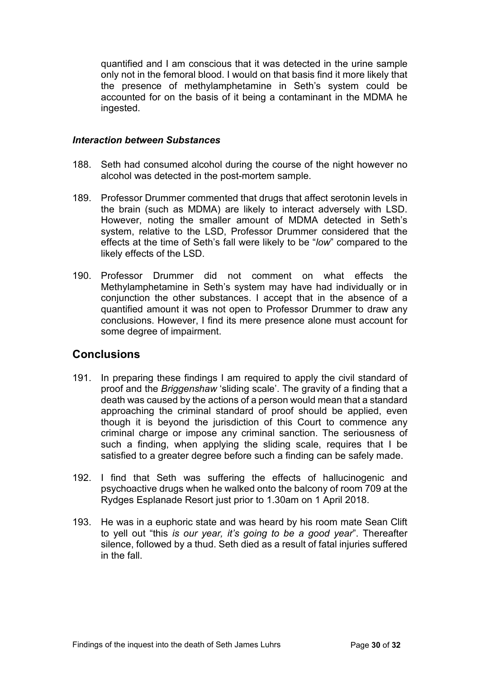quantified and I am conscious that it was detected in the urine sample only not in the femoral blood. I would on that basis find it more likely that the presence of methylamphetamine in Seth's system could be accounted for on the basis of it being a contaminant in the MDMA he ingested.

#### <span id="page-29-0"></span>*Interaction between Substances*

- 188. Seth had consumed alcohol during the course of the night however no alcohol was detected in the post-mortem sample.
- 189. Professor Drummer commented that drugs that affect serotonin levels in the brain (such as MDMA) are likely to interact adversely with LSD. However, noting the smaller amount of MDMA detected in Seth's system, relative to the LSD, Professor Drummer considered that the effects at the time of Seth's fall were likely to be "*low*" compared to the likely effects of the LSD.
- 190. Professor Drummer did not comment on what effects the Methylamphetamine in Seth's system may have had individually or in conjunction the other substances. I accept that in the absence of a quantified amount it was not open to Professor Drummer to draw any conclusions. However, I find its mere presence alone must account for some degree of impairment.

#### <span id="page-29-1"></span>**Conclusions**

- 191. In preparing these findings I am required to apply the civil standard of proof and the *Briggenshaw* 'sliding scale'. The gravity of a finding that a death was caused by the actions of a person would mean that a standard approaching the criminal standard of proof should be applied, even though it is beyond the jurisdiction of this Court to commence any criminal charge or impose any criminal sanction. The seriousness of such a finding, when applying the sliding scale, requires that I be satisfied to a greater degree before such a finding can be safely made.
- 192. I find that Seth was suffering the effects of hallucinogenic and psychoactive drugs when he walked onto the balcony of room 709 at the Rydges Esplanade Resort just prior to 1.30am on 1 April 2018.
- 193. He was in a euphoric state and was heard by his room mate Sean Clift to yell out "this *is our year, it's going to be a good year*". Thereafter silence, followed by a thud. Seth died as a result of fatal injuries suffered in the fall.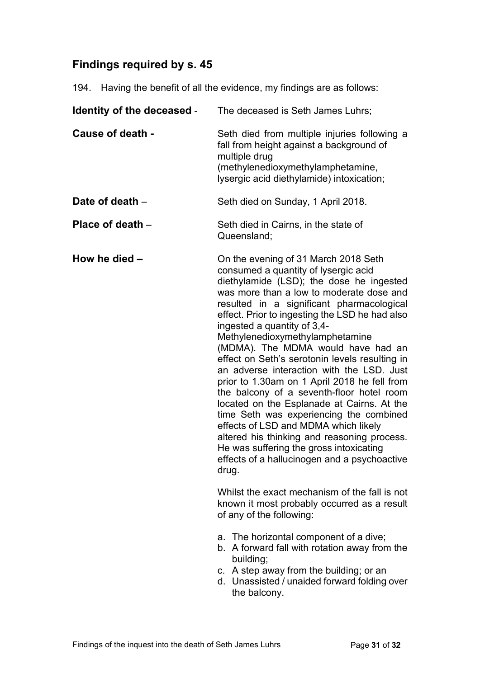# <span id="page-30-0"></span>**Findings required by s. 45**

194. Having the benefit of all the evidence, my findings are as follows:

| Identity of the deceased - | The deceased is Seth James Luhrs;                                                                                                                                                                                                                                                                                                                                                                                                                                                                                                                                                                                                                                                                                                                                                                                                                           |
|----------------------------|-------------------------------------------------------------------------------------------------------------------------------------------------------------------------------------------------------------------------------------------------------------------------------------------------------------------------------------------------------------------------------------------------------------------------------------------------------------------------------------------------------------------------------------------------------------------------------------------------------------------------------------------------------------------------------------------------------------------------------------------------------------------------------------------------------------------------------------------------------------|
| Cause of death -           | Seth died from multiple injuries following a<br>fall from height against a background of<br>multiple drug<br>(methylenedioxymethylamphetamine,<br>lysergic acid diethylamide) intoxication;                                                                                                                                                                                                                                                                                                                                                                                                                                                                                                                                                                                                                                                                 |
| Date of death -            | Seth died on Sunday, 1 April 2018.                                                                                                                                                                                                                                                                                                                                                                                                                                                                                                                                                                                                                                                                                                                                                                                                                          |
| Place of death -           | Seth died in Cairns, in the state of<br>Queensland;                                                                                                                                                                                                                                                                                                                                                                                                                                                                                                                                                                                                                                                                                                                                                                                                         |
| How he died -              | On the evening of 31 March 2018 Seth<br>consumed a quantity of lysergic acid<br>diethylamide (LSD); the dose he ingested<br>was more than a low to moderate dose and<br>resulted in a significant pharmacological<br>effect. Prior to ingesting the LSD he had also<br>ingested a quantity of 3,4-<br>Methylenedioxymethylamphetamine<br>(MDMA). The MDMA would have had an<br>effect on Seth's serotonin levels resulting in<br>an adverse interaction with the LSD. Just<br>prior to 1.30am on 1 April 2018 he fell from<br>the balcony of a seventh-floor hotel room<br>located on the Esplanade at Cairns. At the<br>time Seth was experiencing the combined<br>effects of LSD and MDMA which likely<br>altered his thinking and reasoning process.<br>He was suffering the gross intoxicating<br>effects of a hallucinogen and a psychoactive<br>drug. |
|                            | Whilst the exact mechanism of the fall is not<br>known it most probably occurred as a result<br>of any of the following:                                                                                                                                                                                                                                                                                                                                                                                                                                                                                                                                                                                                                                                                                                                                    |
|                            | a. The horizontal component of a dive;<br>b. A forward fall with rotation away from the<br>building;<br>c. A step away from the building; or an<br>d. Unassisted / unaided forward folding over<br>the balcony.                                                                                                                                                                                                                                                                                                                                                                                                                                                                                                                                                                                                                                             |